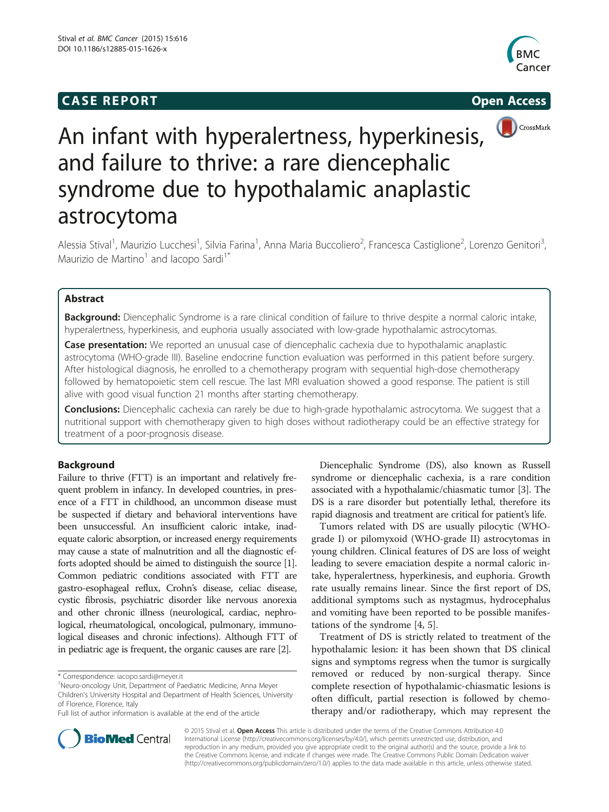# **CASE REPORT CASE REPORT**





# An infant with hyperalertness, hyperkinesis, and failure to thrive: a rare diencephalic syndrome due to hypothalamic anaplastic astrocytoma

Alessia Stival<sup>1</sup>, Maurizio Lucchesi<sup>1</sup>, Silvia Farina<sup>1</sup>, Anna Maria Buccoliero<sup>2</sup>, Francesca Castiglione<sup>2</sup>, Lorenzo Genitori<sup>3</sup> , Maurizio de Martino<sup>1</sup> and Iacopo Sardi<sup>1\*</sup>

# Abstract

Background: Diencephalic Syndrome is a rare clinical condition of failure to thrive despite a normal caloric intake, hyperalertness, hyperkinesis, and euphoria usually associated with low-grade hypothalamic astrocytomas.

Case presentation: We reported an unusual case of diencephalic cachexia due to hypothalamic anaplastic astrocytoma (WHO-grade III). Baseline endocrine function evaluation was performed in this patient before surgery. After histological diagnosis, he enrolled to a chemotherapy program with sequential high-dose chemotherapy followed by hematopoietic stem cell rescue. The last MRI evaluation showed a good response. The patient is still alive with good visual function 21 months after starting chemotherapy.

Conclusions: Diencephalic cachexia can rarely be due to high-grade hypothalamic astrocytoma. We suggest that a nutritional support with chemotherapy given to high doses without radiotherapy could be an effective strategy for treatment of a poor-prognosis disease.

# Background

Failure to thrive (FTT) is an important and relatively frequent problem in infancy. In developed countries, in presence of a FTT in childhood, an uncommon disease must be suspected if dietary and behavioral interventions have been unsuccessful. An insufficient caloric intake, inadequate caloric absorption, or increased energy requirements may cause a state of malnutrition and all the diagnostic efforts adopted should be aimed to distinguish the source [[1](#page-3-0)]. Common pediatric conditions associated with FTT are gastro-esophageal reflux, Crohn's disease, celiac disease, cystic fibrosis, psychiatric disorder like nervous anorexia and other chronic illness (neurological, cardiac, nephrological, rheumatological, oncological, pulmonary, immunological diseases and chronic infections). Although FTT of in pediatric age is frequent, the organic causes are rare [\[2\]](#page-3-0).

Diencephalic Syndrome (DS), also known as Russell syndrome or diencephalic cachexia, is a rare condition associated with a hypothalamic/chiasmatic tumor [[3](#page-3-0)]. The DS is a rare disorder but potentially lethal, therefore its rapid diagnosis and treatment are critical for patient's life.

Tumors related with DS are usually pilocytic (WHOgrade I) or pilomyxoid (WHO-grade II) astrocytomas in young children. Clinical features of DS are loss of weight leading to severe emaciation despite a normal caloric intake, hyperalertness, hyperkinesis, and euphoria. Growth rate usually remains linear. Since the first report of DS, additional symptoms such as nystagmus, hydrocephalus and vomiting have been reported to be possible manifestations of the syndrome [\[4](#page-3-0), [5](#page-3-0)].

Treatment of DS is strictly related to treatment of the hypothalamic lesion: it has been shown that DS clinical signs and symptoms regress when the tumor is surgically removed or reduced by non-surgical therapy. Since complete resection of hypothalamic-chiasmatic lesions is often difficult, partial resection is followed by chemotherapy and/or radiotherapy, which may represent the



© 2015 Stival et al. Open Access This article is distributed under the terms of the Creative Commons Attribution 4.0 International License [\(http://creativecommons.org/licenses/by/4.0/](http://creativecommons.org/licenses/by/4.0/)), which permits unrestricted use, distribution, and reproduction in any medium, provided you give appropriate credit to the original author(s) and the source, provide a link to the Creative Commons license, and indicate if changes were made. The Creative Commons Public Domain Dedication waiver [\(http://creativecommons.org/publicdomain/zero/1.0/](http://creativecommons.org/publicdomain/zero/1.0/)) applies to the data made available in this article, unless otherwise stated.

<sup>\*</sup> Correspondence: [iacopo.sardi@meyer.it](mailto:iacopo.sardi@meyer.it) <sup>1</sup>

Neuro-oncology Unit, Department of Paediatric Medicine, Anna Meyer Children's University Hospital and Department of Health Sciences, University of Florence, Florence, Italy

Full list of author information is available at the end of the article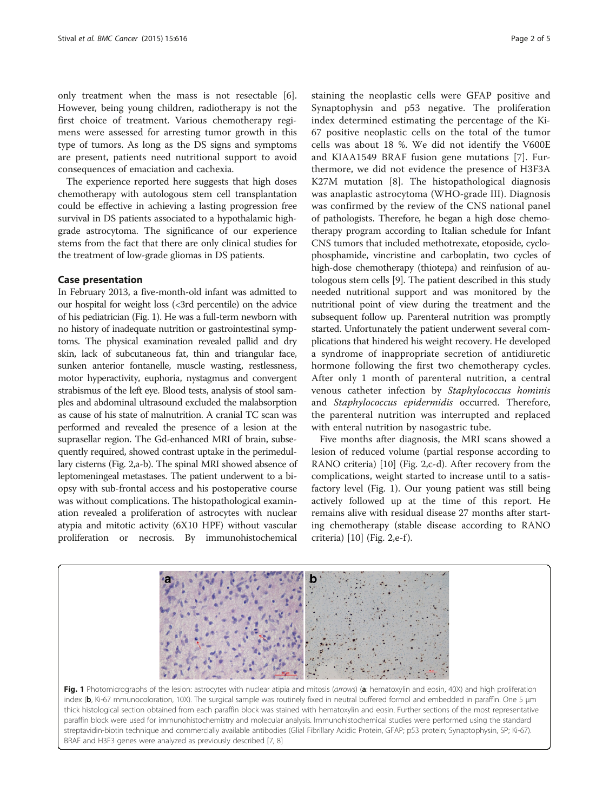only treatment when the mass is not resectable [\[6](#page-3-0)]. However, being young children, radiotherapy is not the first choice of treatment. Various chemotherapy regimens were assessed for arresting tumor growth in this type of tumors. As long as the DS signs and symptoms are present, patients need nutritional support to avoid consequences of emaciation and cachexia.

The experience reported here suggests that high doses chemotherapy with autologous stem cell transplantation could be effective in achieving a lasting progression free survival in DS patients associated to a hypothalamic highgrade astrocytoma. The significance of our experience stems from the fact that there are only clinical studies for the treatment of low-grade gliomas in DS patients.

## Case presentation

In February 2013, a five-month-old infant was admitted to our hospital for weight loss (<3rd percentile) on the advice of his pediatrician (Fig. 1). He was a full-term newborn with no history of inadequate nutrition or gastrointestinal symptoms. The physical examination revealed pallid and dry skin, lack of subcutaneous fat, thin and triangular face, sunken anterior fontanelle, muscle wasting, restlessness, motor hyperactivity, euphoria, nystagmus and convergent strabismus of the left eye. Blood tests, analysis of stool samples and abdominal ultrasound excluded the malabsorption as cause of his state of malnutrition. A cranial TC scan was performed and revealed the presence of a lesion at the suprasellar region. The Gd-enhanced MRI of brain, subsequently required, showed contrast uptake in the perimedullary cisterns (Fig. [2,a-b\)](#page-2-0). The spinal MRI showed absence of leptomeningeal metastases. The patient underwent to a biopsy with sub-frontal access and his postoperative course was without complications. The histopathological examination revealed a proliferation of astrocytes with nuclear atypia and mitotic activity (6X10 HPF) without vascular proliferation or necrosis. By immunohistochemical

staining the neoplastic cells were GFAP positive and Synaptophysin and p53 negative. The proliferation index determined estimating the percentage of the Ki-67 positive neoplastic cells on the total of the tumor cells was about 18 %. We did not identify the V600E and KIAA1549 BRAF fusion gene mutations [[7\]](#page-3-0). Furthermore, we did not evidence the presence of H3F3A K27M mutation [[8](#page-3-0)]. The histopathological diagnosis was anaplastic astrocytoma (WHO-grade III). Diagnosis was confirmed by the review of the CNS national panel of pathologists. Therefore, he began a high dose chemotherapy program according to Italian schedule for Infant CNS tumors that included methotrexate, etoposide, cyclophosphamide, vincristine and carboplatin, two cycles of high-dose chemotherapy (thiotepa) and reinfusion of autologous stem cells [[9\]](#page-3-0). The patient described in this study needed nutritional support and was monitored by the nutritional point of view during the treatment and the subsequent follow up. Parenteral nutrition was promptly started. Unfortunately the patient underwent several complications that hindered his weight recovery. He developed a syndrome of inappropriate secretion of antidiuretic hormone following the first two chemotherapy cycles. After only 1 month of parenteral nutrition, a central venous catheter infection by Staphylococcus hominis and Staphylococcus epidermidis occurred. Therefore, the parenteral nutrition was interrupted and replaced with enteral nutrition by nasogastric tube.

Five months after diagnosis, the MRI scans showed a lesion of reduced volume (partial response according to RANO criteria) [[10\]](#page-3-0) (Fig. [2,c](#page-2-0)-[d\)](#page-2-0). After recovery from the complications, weight started to increase until to a satisfactory level (Fig. 1). Our young patient was still being actively followed up at the time of this report. He remains alive with residual disease 27 months after starting chemotherapy (stable disease according to RANO criteria)  $[10]$  $[10]$  (Fig. [2,e-f](#page-2-0)).



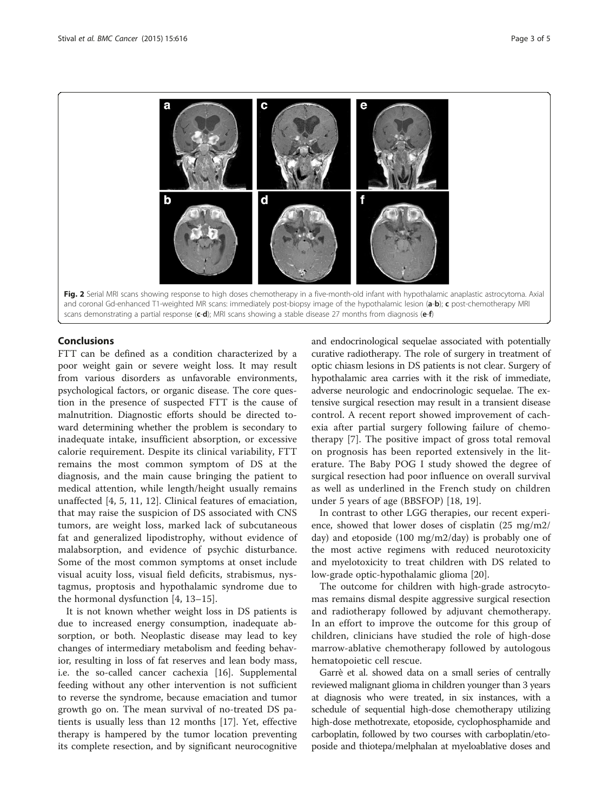<span id="page-2-0"></span>

# Conclusions

FTT can be defined as a condition characterized by a poor weight gain or severe weight loss. It may result from various disorders as unfavorable environments, psychological factors, or organic disease. The core question in the presence of suspected FTT is the cause of malnutrition. Diagnostic efforts should be directed toward determining whether the problem is secondary to inadequate intake, insufficient absorption, or excessive calorie requirement. Despite its clinical variability, FTT remains the most common symptom of DS at the diagnosis, and the main cause bringing the patient to medical attention, while length/height usually remains unaffected [\[4](#page-3-0), [5,](#page-3-0) [11](#page-4-0), [12](#page-4-0)]. Clinical features of emaciation, that may raise the suspicion of DS associated with CNS tumors, are weight loss, marked lack of subcutaneous fat and generalized lipodistrophy, without evidence of malabsorption, and evidence of psychic disturbance. Some of the most common symptoms at onset include visual acuity loss, visual field deficits, strabismus, nystagmus, proptosis and hypothalamic syndrome due to the hormonal dysfunction [[4](#page-3-0), [13](#page-4-0)–[15](#page-4-0)].

It is not known whether weight loss in DS patients is due to increased energy consumption, inadequate absorption, or both. Neoplastic disease may lead to key changes of intermediary metabolism and feeding behavior, resulting in loss of fat reserves and lean body mass, i.e. the so-called cancer cachexia [\[16](#page-4-0)]. Supplemental feeding without any other intervention is not sufficient to reverse the syndrome, because emaciation and tumor growth go on. The mean survival of no-treated DS patients is usually less than 12 months [\[17\]](#page-4-0). Yet, effective therapy is hampered by the tumor location preventing its complete resection, and by significant neurocognitive and endocrinological sequelae associated with potentially curative radiotherapy. The role of surgery in treatment of optic chiasm lesions in DS patients is not clear. Surgery of hypothalamic area carries with it the risk of immediate, adverse neurologic and endocrinologic sequelae. The extensive surgical resection may result in a transient disease control. A recent report showed improvement of cachexia after partial surgery following failure of chemotherapy [[7\]](#page-3-0). The positive impact of gross total removal on prognosis has been reported extensively in the literature. The Baby POG I study showed the degree of surgical resection had poor influence on overall survival as well as underlined in the French study on children under 5 years of age (BBSFOP) [\[18](#page-4-0), [19](#page-4-0)].

In contrast to other LGG therapies, our recent experience, showed that lower doses of cisplatin (25 mg/m2/ day) and etoposide (100 mg/m2/day) is probably one of the most active regimens with reduced neurotoxicity and myelotoxicity to treat children with DS related to low-grade optic-hypothalamic glioma [[20](#page-4-0)].

The outcome for children with high-grade astrocytomas remains dismal despite aggressive surgical resection and radiotherapy followed by adjuvant chemotherapy. In an effort to improve the outcome for this group of children, clinicians have studied the role of high-dose marrow-ablative chemotherapy followed by autologous hematopoietic cell rescue.

Garrè et al. showed data on a small series of centrally reviewed malignant glioma in children younger than 3 years at diagnosis who were treated, in six instances, with a schedule of sequential high-dose chemotherapy utilizing high-dose methotrexate, etoposide, cyclophosphamide and carboplatin, followed by two courses with carboplatin/etoposide and thiotepa/melphalan at myeloablative doses and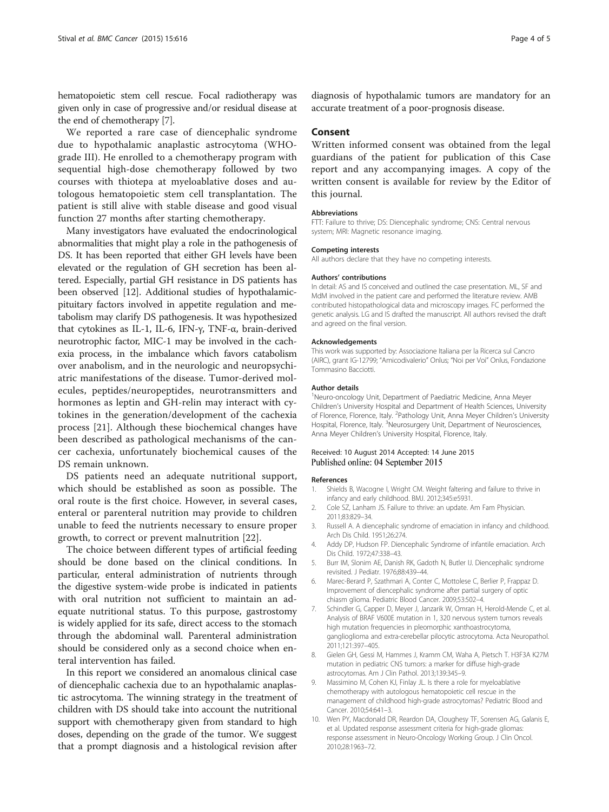<span id="page-3-0"></span>hematopoietic stem cell rescue. Focal radiotherapy was given only in case of progressive and/or residual disease at the end of chemotherapy [7].

We reported a rare case of diencephalic syndrome due to hypothalamic anaplastic astrocytoma (WHOgrade III). He enrolled to a chemotherapy program with sequential high-dose chemotherapy followed by two courses with thiotepa at myeloablative doses and autologous hematopoietic stem cell transplantation. The patient is still alive with stable disease and good visual function 27 months after starting chemotherapy.

Many investigators have evaluated the endocrinological abnormalities that might play a role in the pathogenesis of DS. It has been reported that either GH levels have been elevated or the regulation of GH secretion has been altered. Especially, partial GH resistance in DS patients has been observed [\[12\]](#page-4-0). Additional studies of hypothalamicpituitary factors involved in appetite regulation and metabolism may clarify DS pathogenesis. It was hypothesized that cytokines as IL-1, IL-6, IFN-γ, TNF-α, brain-derived neurotrophic factor, MIC-1 may be involved in the cachexia process, in the imbalance which favors catabolism over anabolism, and in the neurologic and neuropsychiatric manifestations of the disease. Tumor-derived molecules, peptides/neuropeptides, neurotransmitters and hormones as leptin and GH-relin may interact with cytokines in the generation/development of the cachexia process [[21\]](#page-4-0). Although these biochemical changes have been described as pathological mechanisms of the cancer cachexia, unfortunately biochemical causes of the DS remain unknown.

DS patients need an adequate nutritional support, which should be established as soon as possible. The oral route is the first choice. However, in several cases, enteral or parenteral nutrition may provide to children unable to feed the nutrients necessary to ensure proper growth, to correct or prevent malnutrition [\[22](#page-4-0)].

The choice between different types of artificial feeding should be done based on the clinical conditions. In particular, enteral administration of nutrients through the digestive system-wide probe is indicated in patients with oral nutrition not sufficient to maintain an adequate nutritional status. To this purpose, gastrostomy is widely applied for its safe, direct access to the stomach through the abdominal wall. Parenteral administration should be considered only as a second choice when enteral intervention has failed.

In this report we considered an anomalous clinical case of diencephalic cachexia due to an hypothalamic anaplastic astrocytoma. The winning strategy in the treatment of children with DS should take into account the nutritional support with chemotherapy given from standard to high doses, depending on the grade of the tumor. We suggest that a prompt diagnosis and a histological revision after

diagnosis of hypothalamic tumors are mandatory for an accurate treatment of a poor-prognosis disease.

# Consent

Written informed consent was obtained from the legal guardians of the patient for publication of this Case report and any accompanying images. A copy of the written consent is available for review by the Editor of this journal.

#### Abbreviations

FTT: Failure to thrive; DS: Diencephalic syndrome; CNS: Central nervous system; MRI: Magnetic resonance imaging.

#### Competing interests

All authors declare that they have no competing interests.

#### Authors' contributions

In detail: AS and IS conceived and outlined the case presentation. ML, SF and MdM involved in the patient care and performed the literature review. AMB contributed histopathological data and microscopy images. FC performed the genetic analysis. LG and IS drafted the manuscript. All authors revised the draft and agreed on the final version.

#### Acknowledgements

This work was supported by: Associazione Italiana per la Ricerca sul Cancro (AIRC), grant IG-12799; "Amicodivalerio" Onlus; "Noi per Voi" Onlus, Fondazione Tommasino Bacciotti.

#### Author details

<sup>1</sup>Neuro-oncology Unit, Department of Paediatric Medicine, Anna Meyer Children's University Hospital and Department of Health Sciences, University of Florence, Florence, Italy. <sup>2</sup>Pathology Unit, Anna Meyer Children's University Hospital, Florence, Italy. <sup>3</sup>Neurosurgery Unit, Department of Neurosciences, Anna Meyer Children's University Hospital, Florence, Italy.

### Received: 10 August 2014 Accepted: 14 June 2015 Published online: 04 September 2015

#### References

- 1. Shields B, Wacogne I, Wright CM. Weight faltering and failure to thrive in infancy and early childhood. BMJ. 2012;345:e5931.
- 2. Cole SZ, Lanham JS. Failure to thrive: an update. Am Fam Physician. 2011;83:829–34.
- 3. Russell A. A diencephalic syndrome of emaciation in infancy and childhood. Arch Dis Child. 1951;26:274.
- 4. Addy DP, Hudson FP. Diencephalic Syndrome of infantile emaciation. Arch Dis Child. 1972;47:338–43.
- 5. Burr IM, Slonim AE, Danish RK, Gadoth N, Butler IJ. Diencephalic syndrome revisited. J Pediatr. 1976;88:439–44.
- 6. Marec-Berard P, Szathmari A, Conter C, Mottolese C, Berlier P, Frappaz D. Improvement of diencephalic syndrome after partial surgery of optic chiasm glioma. Pediatric Blood Cancer. 2009;53:502–4.
- 7. Schindler G, Capper D, Meyer J, Janzarik W, Omran H, Herold-Mende C, et al. Analysis of BRAF V600E mutation in 1, 320 nervous system tumors reveals high mutation frequencies in pleomorphic xanthoastrocytoma, ganglioglioma and extra-cerebellar pilocytic astrocytoma. Acta Neuropathol. 2011;121:397–405.
- 8. Gielen GH, Gessi M, Hammes J, Kramm CM, Waha A, Pietsch T. H3F3A K27M mutation in pediatric CNS tumors: a marker for diffuse high-grade astrocytomas. Am J Clin Pathol. 2013;139:345–9.
- 9. Massimino M, Cohen KJ, Finlay JL. Is there a role for myeloablative chemotherapy with autologous hematopoietic cell rescue in the management of childhood high-grade astrocytomas? Pediatric Blood and Cancer. 2010;54:641–3.
- 10. Wen PY, Macdonald DR, Reardon DA, Cloughesy TF, Sorensen AG, Galanis E, et al. Updated response assessment criteria for high-grade gliomas: response assessment in Neuro-Oncology Working Group. J Clin Oncol. 2010;28:1963–72.